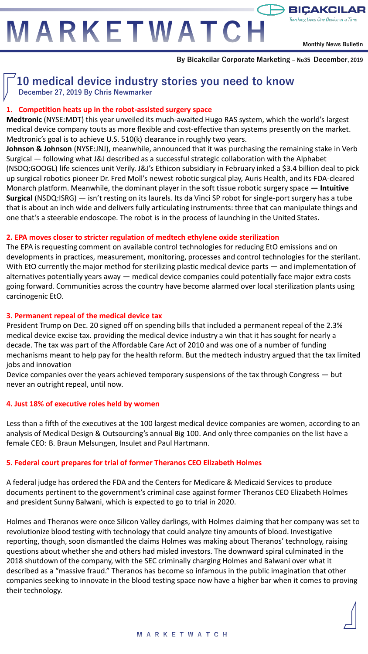MARKETWATCH

**Monthly News Bulletin**

Touching Lives One Device at a Time

 $\mapsto$  BICAKCIL

# **10 medical device industry stories you need to know December 27, 2019 By Chris Newmarker**

# **1. Competition heats up in the robot-assisted surgery space**

**Medtronic** (NYSE:MDT) this year unveiled its much-awaited Hugo RAS system, which the world's largest medical device company touts as more flexible and cost-effective than systems presently on the market. Medtronic's goal is to achieve U.S. 510(k) clearance in roughly two years.

**Johnson & Johnson** (NYSE:JNJ), meanwhile, announced that it was purchasing the remaining stake in Verb Surgical — following what J&J described as a successful strategic collaboration with the Alphabet (NSDQ:GOOGL) life sciences unit Verily. J&J's Ethicon subsidiary in February inked a \$3.4 billion deal to pick up surgical robotics pioneer Dr. Fred Moll's newest robotic surgical play, Auris Health, and its FDA-cleared Monarch platform. Meanwhile, the dominant player in the soft tissue robotic surgery space **— Intuitive Surgical** (NSDQ:ISRG) — isn't resting on its laurels. Its da Vinci SP robot for single-port surgery has a tube that is about an inch wide and delivers fully articulating instruments: three that can manipulate things and one that's a steerable endoscope. The robot is in the process of launching in the United States.

#### **2. EPA moves closer to stricter regulation of medtech ethylene oxide sterilization**

The EPA is requesting comment on available control technologies for reducing EtO emissions and on developments in practices, measurement, monitoring, processes and control technologies for the sterilant. With EtO currently the major method for sterilizing plastic medical device parts — and implementation of alternatives potentially years away — medical device companies could potentially face major extra costs going forward. Communities across the country have become alarmed over local sterilization plants using carcinogenic EtO.

## **3. Permanent repeal of the medical device tax**

President Trump on Dec. 20 signed off on spending bills that included a permanent repeal of the 2.3% medical device excise tax. providing the medical device industry a win that it has sought for nearly a decade. The tax was part of the Affordable Care Act of 2010 and was one of a number of funding mechanisms meant to help pay for the health reform. But the medtech industry argued that the tax limited jobs and innovation

Device companies over the years achieved temporary suspensions of the tax through Congress — but never an outright repeal, until now.

## **4. Just 18% of executive roles held by women**

Less than a fifth of the executives at the 100 largest medical device companies are women, according to an analysis of Medical Design & Outsourcing's annual Big 100. And only three companies on the list have a female CEO: B. Braun Melsungen, Insulet and Paul Hartmann.

# **5. Federal court prepares for trial of former Theranos CEO Elizabeth Holmes**

A federal judge has ordered the FDA and the Centers for Medicare & Medicaid Services to produce documents pertinent to the government's criminal case against former Theranos CEO Elizabeth Holmes and president Sunny Balwani, which is expected to go to trial in 2020.

Holmes and Theranos were once Silicon Valley darlings, with Holmes claiming that her company was set to revolutionize blood testing with technology that could analyze tiny amounts of blood. Investigative reporting, though, soon dismantled the claims Holmes was making about Theranos' technology, raising questions about whether she and others had misled investors. The downward spiral culminated in the 2018 shutdown of the company, with the SEC criminally charging Holmes and Balwani over what it described as a "massive fraud." Theranos has become so infamous in the public imagination that other companies seeking to innovate in the blood testing space now have a higher bar when it comes to proving their technology.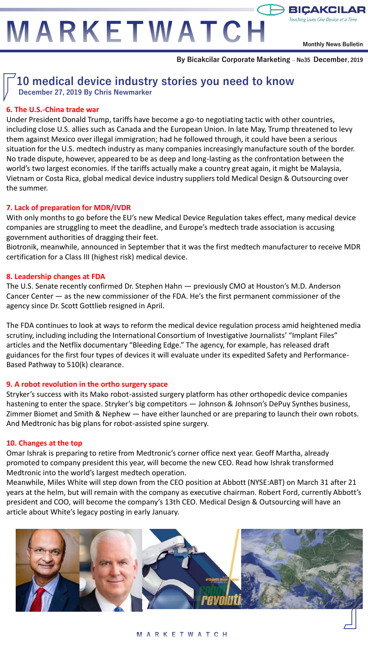MARKETWATCH

**Monthly News Bulletin**

Touching Lives One Device at a Time

 $\ominus$  BIÇAKCIL

**By Bicakcilar Corporate Marketing – No35 December, 2019**

# **10 medical device industry stories you need to know**

**December 27, 2019 By Chris Newmarker**

### **6. The U.S.-China trade war**

Under President Donald Trump, tariffs have become a go-to negotiating tactic with other countries, including close U.S. allies such as Canada and the European Union. In late May, Trump threatened to levy them against Mexico over illegal immigration; had he followed through, it could have been a serious situation for the U.S. medtech industry as many companies increasingly manufacture south of the border. No trade dispute, however, appeared to be as deep and long-lasting as the confrontation between the world's two largest economies. If the tariffs actually make a country great again, it might be Malaysia, Vietnam or Costa Rica, global medical device industry suppliers told Medical Design & Outsourcing over the summer.

#### **7. Lack of preparation for MDR/IVDR**

With only months to go before the EU's new Medical Device Regulation takes effect, many medical device companies are struggling to meet the deadline, and Europe's medtech trade association is accusing government authorities of dragging their feet.

Biotronik, meanwhile, announced in September that it was the first medtech manufacturer to receive MDR certification for a Class III (highest risk) medical device.

#### **8. Leadership changes at FDA**

The U.S. Senate recently confirmed Dr. Stephen Hahn — previously CMO at Houston's M.D. Anderson Cancer Center — as the new commissioner of the FDA. He's the first permanent commissioner of the agency since Dr. Scott Gottlieb resigned in April.

The FDA continues to look at ways to reform the medical device regulation process amid heightened media scrutiny, including including the International Consortium of Investigative Journalists' "Implant Files" articles and the Netflix documentary "Bleeding Edge." The agency, for example, has released draft guidances for the first four types of devices it will evaluate under its expedited Safety and Performance-Based Pathway to 510(k) clearance.

#### **9. A robot revolution in the ortho surgery space**

Stryker's success with its Mako robot-assisted surgery platform has other orthopedic device companies hastening to enter the space. Stryker's big competitors — Johnson & Johnson's DePuy Synthes business, Zimmer Biomet and Smith & Nephew — have either launched or are preparing to launch their own robots. And Medtronic has big plans for robot-assisted spine surgery.

#### **10. Changes at the top**

Omar Ishrak is preparing to retire from Medtronic's corner office next year. Geoff Martha, already promoted to company president this year, will become the new CEO. Read how Ishrak transformed Medtronic into the world's largest medtech operation.

Meanwhile, Miles White will step down from the CEO position at Abbott (NYSE:ABT) on March 31 after 21 years at the helm, but will remain with the company as executive chairman. Robert Ford, currently Abbott's president and COO, will become the company's 13th CEO. Medical Design & Outsourcing will have an article about White's legacy posting in early January.

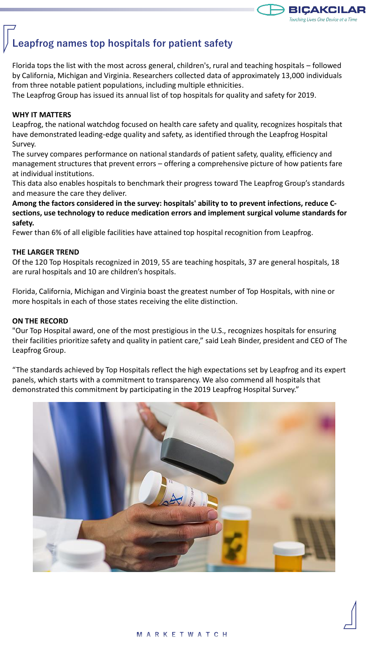

# **Leapfrog names top hospitals for patient safety**

Florida tops the list with the most across general, children's, rural and teaching hospitals – followed by California, Michigan and Virginia. Researchers collected data of approximately 13,000 individuals from three notable patient populations, including multiple ethnicities.

The Leapfrog Group has issued its annual list of top hospitals for quality and safety for 2019.

#### **WHY IT MATTERS**

Leapfrog, the national watchdog focused on health care safety and quality, recognizes hospitals that have demonstrated leading-edge quality and safety, as identified through the Leapfrog Hospital Survey.

The survey compares performance on national standards of patient safety, quality, efficiency and management structures that prevent errors – offering a comprehensive picture of how patients fare at individual institutions.

This data also enables hospitals to benchmark their progress toward The Leapfrog Group's standards and measure the care they deliver.

**Among the factors considered in the survey: hospitals' ability to to prevent infections, reduce Csections, use technology to reduce medication errors and implement surgical volume standards for safety.**

Fewer than 6% of all eligible facilities have attained top hospital recognition from Leapfrog.

#### **THE LARGER TREND**

Of the 120 Top Hospitals recognized in 2019, 55 are teaching hospitals, 37 are general hospitals, 18 are rural hospitals and 10 are children's hospitals.

Florida, California, Michigan and Virginia boast the greatest number of Top Hospitals, with nine or more hospitals in each of those states receiving the elite distinction.

#### **ON THE RECORD**

"Our Top Hospital award, one of the most prestigious in the U.S., recognizes hospitals for ensuring their facilities prioritize safety and quality in patient care," said Leah Binder, president and CEO of The Leapfrog Group.

"The standards achieved by Top Hospitals reflect the high expectations set by Leapfrog and its expert panels, which starts with a commitment to transparency. We also commend all hospitals that demonstrated this commitment by participating in the 2019 Leapfrog Hospital Survey."

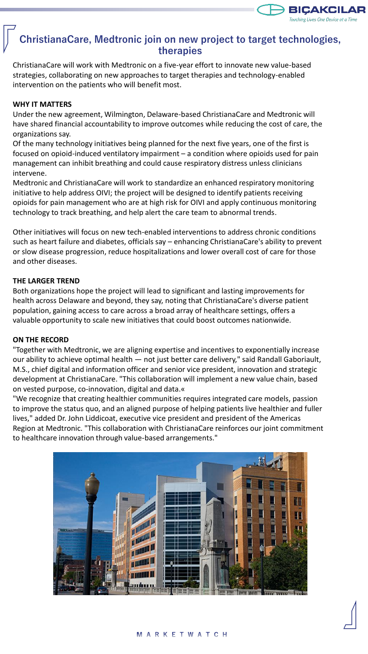

# **ChristianaCare, Medtronic join on new project to target technologies, therapies**

ChristianaCare will work with Medtronic on a five-year effort to innovate new value-based strategies, collaborating on new approaches to target therapies and technology-enabled intervention on the patients who will benefit most.

#### **WHY IT MATTERS**

Under the new agreement, Wilmington, Delaware-based ChristianaCare and Medtronic will have shared financial accountability to improve outcomes while reducing the cost of care, the organizations say.

Of the many technology initiatives being planned for the next five years, one of the first is focused on opioid-induced ventilatory impairment – a condition where opioids used for pain management can inhibit breathing and could cause respiratory distress unless clinicians intervene.

Medtronic and ChristianaCare will work to standardize an enhanced respiratory monitoring initiative to help address OIVI; the project will be designed to identify patients receiving opioids for pain management who are at high risk for OIVI and apply continuous monitoring technology to track breathing, and help alert the care team to abnormal trends.

Other initiatives will focus on new tech-enabled interventions to address chronic conditions such as heart failure and diabetes, officials say – enhancing ChristianaCare's ability to prevent or slow disease progression, reduce hospitalizations and lower overall cost of care for those and other diseases.

#### **THE LARGER TREND**

Both organizations hope the project will lead to significant and lasting improvements for health across Delaware and beyond, they say, noting that ChristianaCare's diverse patient population, gaining access to care across a broad array of healthcare settings, offers a valuable opportunity to scale new initiatives that could boost outcomes nationwide.

#### **ON THE RECORD**

"Together with Medtronic, we are aligning expertise and incentives to exponentially increase our ability to achieve optimal health — not just better care delivery," said Randall Gaboriault, M.S., chief digital and information officer and senior vice president, innovation and strategic development at ChristianaCare. "This collaboration will implement a new value chain, based on vested purpose, co-innovation, digital and data.«

"We recognize that creating healthier communities requires integrated care models, passion to improve the status quo, and an aligned purpose of helping patients live healthier and fuller lives," added Dr. John Liddicoat, executive vice president and president of the Americas Region at Medtronic. "This collaboration with ChristianaCare reinforces our joint commitment to healthcare innovation through value-based arrangements."

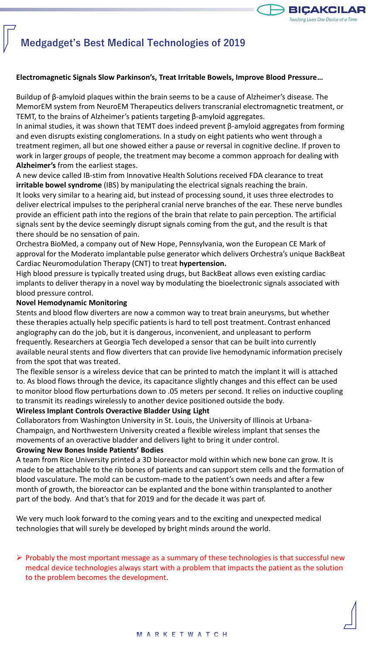

# **Medgadget's Best Medical Technologies of 2019**

#### **Electromagnetic Signals Slow Parkinson's, Treat Irritable Bowels, Improve Blood Pressure…**

Buildup of β-amyloid plaques within the brain seems to be a cause of Alzheimer's disease. The MemorEM system from NeuroEM Therapeutics delivers transcranial electromagnetic treatment, or TEMT, to the brains of Alzheimer's patients targeting β-amyloid aggregates.

In animal studies, it was shown that TEMT does indeed prevent β-amyloid aggregates from forming and even disrupts existing conglomerations. In a study on eight patients who went through a treatment regimen, all but one showed either a pause or reversal in cognitive decline. If proven to work in larger groups of people, the treatment may become a common approach for dealing with **Alzheimer's** from the earliest stages.

A new device called IB-stim from Innovative Health Solutions received FDA clearance to treat **irritable bowel syndrome** (IBS) by manipulating the electrical signals reaching the brain.

It looks very similar to a hearing aid, but instead of processing sound, it uses three electrodes to deliver electrical impulses to the peripheral cranial nerve branches of the ear. These nerve bundles provide an efficient path into the regions of the brain that relate to pain perception. The artificial signals sent by the device seemingly disrupt signals coming from the gut, and the result is that there should be no sensation of pain.

Orchestra BioMed, a company out of New Hope, Pennsylvania, won the European CE Mark of approval for the Moderato implantable pulse generator which delivers Orchestra's unique BackBeat Cardiac Neuromodulation Therapy (CNT) to treat **hypertension.**

High blood pressure is typically treated using drugs, but BackBeat allows even existing cardiac implants to deliver therapy in a novel way by modulating the bioelectronic signals associated with blood pressure control.

#### **Novel Hemodynamic Monitoring**

Stents and blood flow diverters are now a common way to treat brain aneurysms, but whether these therapies actually help specific patients is hard to tell post treatment. Contrast enhanced angiography can do the job, but it is dangerous, inconvenient, and unpleasant to perform frequently. Researchers at Georgia Tech developed a sensor that can be built into currently available neural stents and flow diverters that can provide live hemodynamic information precisely from the spot that was treated.

The flexible sensor is a wireless device that can be printed to match the implant it will is attached to. As blood flows through the device, its capacitance slightly changes and this effect can be used to monitor blood flow perturbations down to .05 meters per second. It relies on inductive coupling to transmit its readings wirelessly to another device positioned outside the body.

# **Wireless Implant Controls Overactive Bladder Using Light**

Collaborators from Washington University in St. Louis, the University of Illinois at Urbana-Champaign, and Northwestern University created a flexible wireless implant that senses the movements of an overactive bladder and delivers light to bring it under control.

#### **Growing New Bones Inside Patients' Bodies**

A team from Rice University printed a 3D bioreactor mold within which new bone can grow. It is made to be attachable to the rib bones of patients and can support stem cells and the formation of blood vasculature. The mold can be custom-made to the patient's own needs and after a few month of growth, the bioreactor can be explanted and the bone within transplanted to another part of the body. And that's that for 2019 and for the decade it was part of.

We very much look forward to the coming years and to the exciting and unexpected medical technologies that will surely be developed by bright minds around the world.

## $\triangleright$  Probably the most mportant message as a summary of these technologies is that successful new medcal device technologies always start with a problem that impacts the patient as the solution to the problem becomes the development.